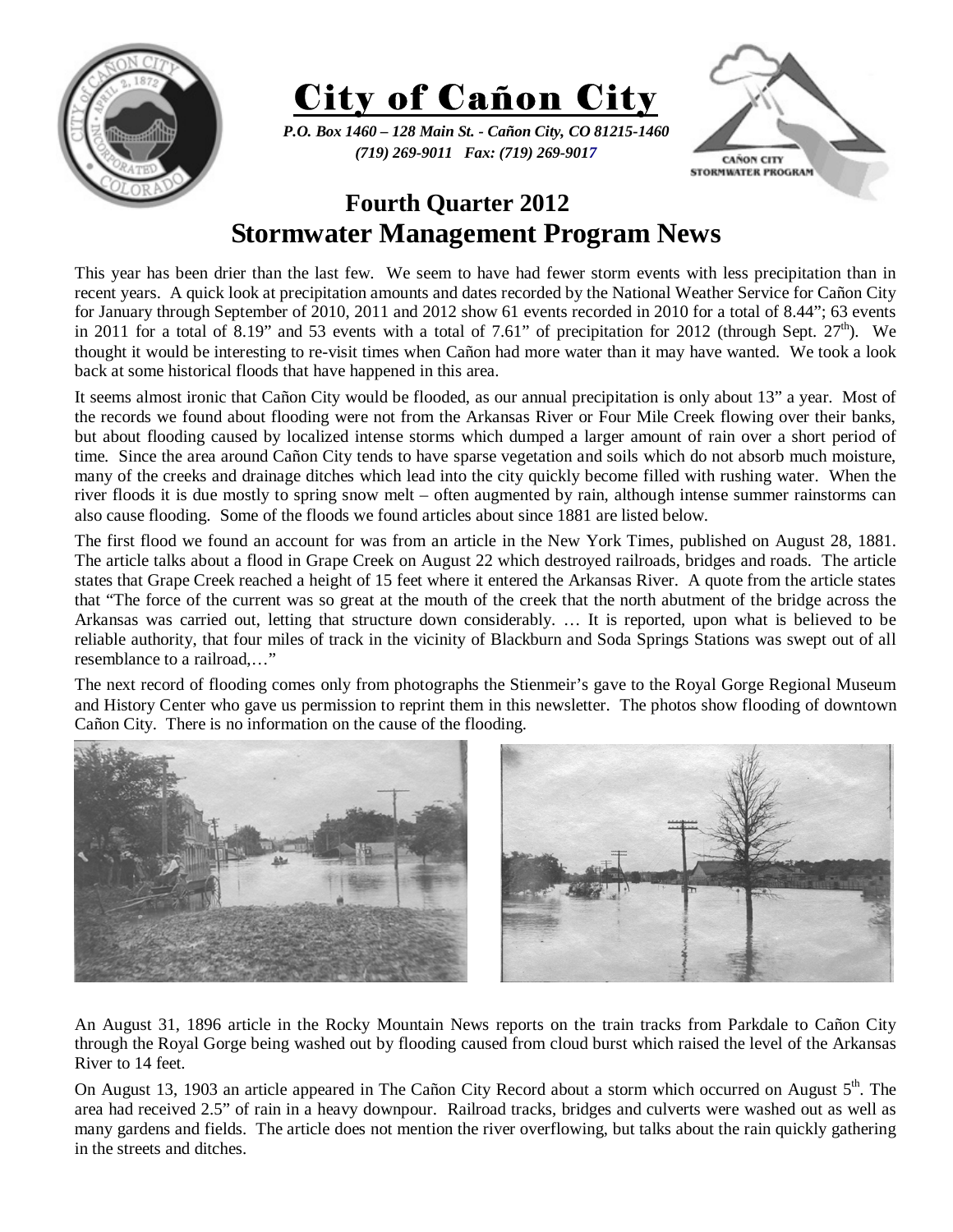



*P.O. Box 1460 – 128 Main St. - Cañon City, CO 81215-1460 (719) 269-9011 Fax: (719) 269-9017* 



## **Fourth Quarter 2012 Stormwater Management Program News**

This year has been drier than the last few. We seem to have had fewer storm events with less precipitation than in recent years. A quick look at precipitation amounts and dates recorded by the National Weather Service for Cañon City for January through September of 2010, 2011 and 2012 show 61 events recorded in 2010 for a total of 8.44"; 63 events in 2011 for a total of 8.19" and 53 events with a total of 7.61" of precipitation for 2012 (through Sept.  $27<sup>th</sup>$ ). We thought it would be interesting to re-visit times when Cañon had more water than it may have wanted. We took a look back at some historical floods that have happened in this area.

It seems almost ironic that Cañon City would be flooded, as our annual precipitation is only about 13" a year. Most of the records we found about flooding were not from the Arkansas River or Four Mile Creek flowing over their banks, but about flooding caused by localized intense storms which dumped a larger amount of rain over a short period of time. Since the area around Cañon City tends to have sparse vegetation and soils which do not absorb much moisture, many of the creeks and drainage ditches which lead into the city quickly become filled with rushing water. When the river floods it is due mostly to spring snow melt – often augmented by rain, although intense summer rainstorms can also cause flooding. Some of the floods we found articles about since 1881 are listed below.

The first flood we found an account for was from an article in the New York Times, published on August 28, 1881. The article talks about a flood in Grape Creek on August 22 which destroyed railroads, bridges and roads. The article states that Grape Creek reached a height of 15 feet where it entered the Arkansas River. A quote from the article states that "The force of the current was so great at the mouth of the creek that the north abutment of the bridge across the Arkansas was carried out, letting that structure down considerably. … It is reported, upon what is believed to be reliable authority, that four miles of track in the vicinity of Blackburn and Soda Springs Stations was swept out of all resemblance to a railroad,…"

The next record of flooding comes only from photographs the Stienmeir's gave to the Royal Gorge Regional Museum and History Center who gave us permission to reprint them in this newsletter. The photos show flooding of downtown Cañon City. There is no information on the cause of the flooding.



An August 31, 1896 article in the Rocky Mountain News reports on the train tracks from Parkdale to Cañon City through the Royal Gorge being washed out by flooding caused from cloud burst which raised the level of the Arkansas River to 14 feet.

On August 13, 1903 an article appeared in The Cañon City Record about a storm which occurred on August  $5<sup>th</sup>$ . The area had received 2.5" of rain in a heavy downpour. Railroad tracks, bridges and culverts were washed out as well as many gardens and fields. The article does not mention the river overflowing, but talks about the rain quickly gathering in the streets and ditches.